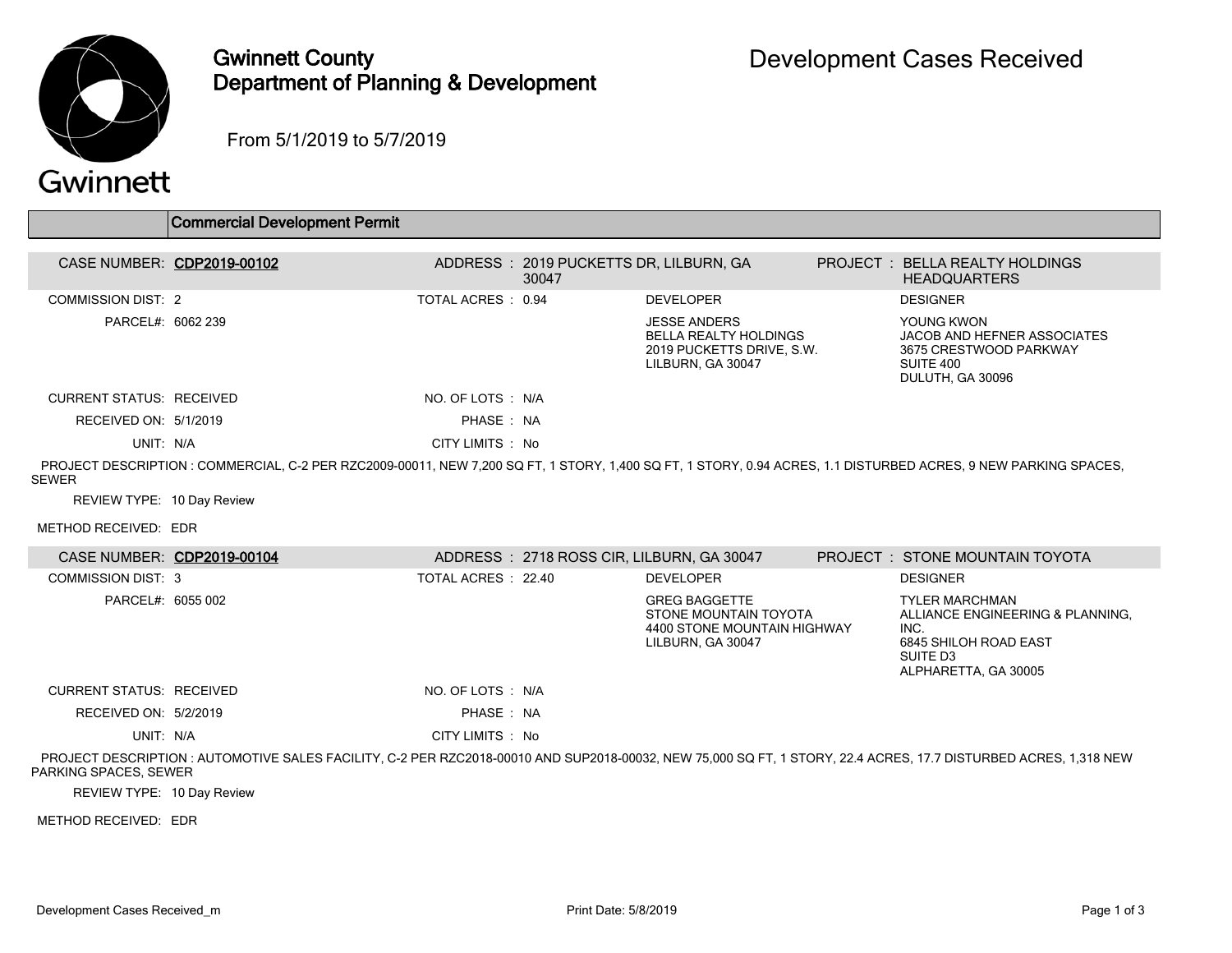

## Gwinnett County Department of Planning & Development

From 5/1/2019 to 5/7/2019

## Gwinnett

|                                 | <b>Commercial Development Permit</b>                                                                                                                            |                     |                                                  |                                                                                                          |                                                                                                                                            |
|---------------------------------|-----------------------------------------------------------------------------------------------------------------------------------------------------------------|---------------------|--------------------------------------------------|----------------------------------------------------------------------------------------------------------|--------------------------------------------------------------------------------------------------------------------------------------------|
|                                 |                                                                                                                                                                 |                     |                                                  |                                                                                                          |                                                                                                                                            |
|                                 | CASE NUMBER: CDP2019-00102                                                                                                                                      |                     | ADDRESS : 2019 PUCKETTS DR, LILBURN, GA<br>30047 |                                                                                                          | PROJECT : BELLA REALTY HOLDINGS<br><b>HEADQUARTERS</b>                                                                                     |
| <b>COMMISSION DIST: 2</b>       |                                                                                                                                                                 | TOTAL ACRES: 0.94   |                                                  | <b>DEVELOPER</b>                                                                                         | <b>DESIGNER</b>                                                                                                                            |
| PARCEL#: 6062 239               |                                                                                                                                                                 |                     |                                                  | <b>JESSE ANDERS</b><br><b>BELLA REALTY HOLDINGS</b><br>2019 PUCKETTS DRIVE, S.W.<br>LILBURN, GA 30047    | YOUNG KWON<br>JACOB AND HEFNER ASSOCIATES<br>3675 CRESTWOOD PARKWAY<br>SUITE 400<br>DULUTH, GA 30096                                       |
| <b>CURRENT STATUS: RECEIVED</b> |                                                                                                                                                                 | NO. OF LOTS: N/A    |                                                  |                                                                                                          |                                                                                                                                            |
| RECEIVED ON: 5/1/2019           |                                                                                                                                                                 | PHASE: NA           |                                                  |                                                                                                          |                                                                                                                                            |
| UNIT: N/A                       |                                                                                                                                                                 | CITY LIMITS : No    |                                                  |                                                                                                          |                                                                                                                                            |
| <b>SEWER</b>                    | PROJECT DESCRIPTION : COMMERCIAL, C-2 PER RZC2009-00011, NEW 7,200 SQ FT, 1 STORY, 1,400 SQ FT, 1 STORY, 0.94 ACRES, 1.1 DISTURBED ACRES, 9 NEW PARKING SPACES, |                     |                                                  |                                                                                                          |                                                                                                                                            |
| REVIEW TYPE: 10 Day Review      |                                                                                                                                                                 |                     |                                                  |                                                                                                          |                                                                                                                                            |
| METHOD RECEIVED: EDR            |                                                                                                                                                                 |                     |                                                  |                                                                                                          |                                                                                                                                            |
| CASE NUMBER: CDP2019-00104      |                                                                                                                                                                 |                     | ADDRESS: 2718 ROSS CIR, LILBURN, GA 30047        |                                                                                                          | <b>PROJECT : STONE MOUNTAIN TOYOTA</b>                                                                                                     |
| <b>COMMISSION DIST: 3</b>       |                                                                                                                                                                 | TOTAL ACRES : 22.40 |                                                  | <b>DEVELOPER</b>                                                                                         | <b>DESIGNER</b>                                                                                                                            |
| PARCEL#: 6055 002               |                                                                                                                                                                 |                     |                                                  | <b>GREG BAGGETTE</b><br><b>STONE MOUNTAIN TOYOTA</b><br>4400 STONE MOUNTAIN HIGHWAY<br>LILBURN, GA 30047 | <b>TYLER MARCHMAN</b><br>ALLIANCE ENGINEERING & PLANNING,<br>INC.<br>6845 SHILOH ROAD EAST<br>SUITE D <sub>3</sub><br>ALPHARETTA, GA 30005 |
| <b>CURRENT STATUS: RECEIVED</b> |                                                                                                                                                                 | NO. OF LOTS : N/A   |                                                  |                                                                                                          |                                                                                                                                            |
| RECEIVED ON: 5/2/2019           |                                                                                                                                                                 | PHASE: NA           |                                                  |                                                                                                          |                                                                                                                                            |
| UNIT: N/A                       |                                                                                                                                                                 | CITY LIMITS : No    |                                                  |                                                                                                          |                                                                                                                                            |

 PROJECT DESCRIPTION : AUTOMOTIVE SALES FACILITY, C-2 PER RZC2018-00010 AND SUP2018-00032, NEW 75,000 SQ FT, 1 STORY, 22.4 ACRES, 17.7 DISTURBED ACRES, 1,318 NEW PARKING SPACES, SEWER

REVIEW TYPE: 10 Day Review

METHOD RECEIVED: EDR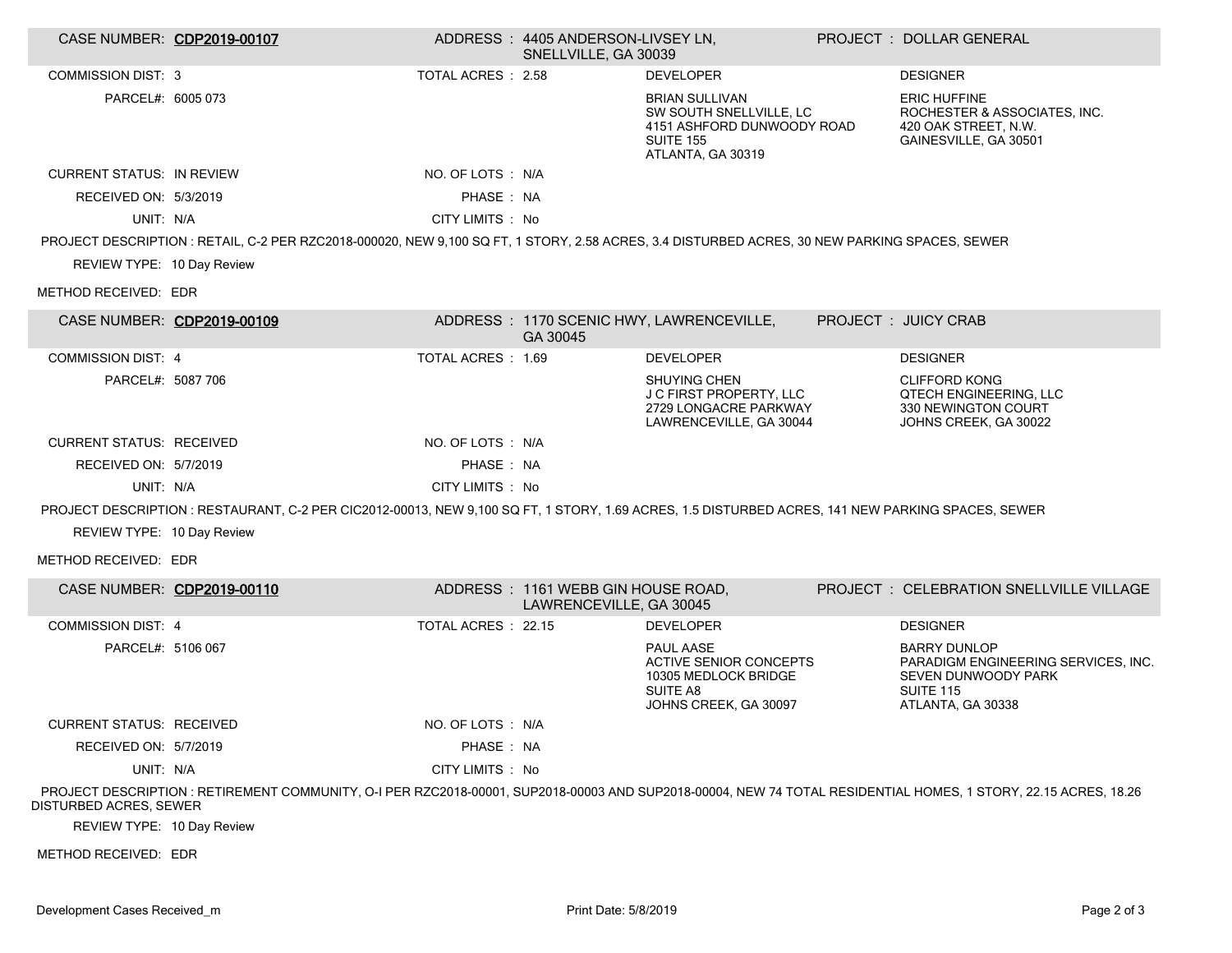| CASE NUMBER: CDP2019-00107       |                                                                                                                                                   |                     | ADDRESS: 4405 ANDERSON-LIVSEY LN.<br>SNELLVILLE, GA 30039     |                                                                                                                         | PROJECT: DOLLAR GENERAL                                                                                                                                         |
|----------------------------------|---------------------------------------------------------------------------------------------------------------------------------------------------|---------------------|---------------------------------------------------------------|-------------------------------------------------------------------------------------------------------------------------|-----------------------------------------------------------------------------------------------------------------------------------------------------------------|
| <b>COMMISSION DIST: 3</b>        |                                                                                                                                                   | TOTAL ACRES : 2.58  |                                                               | <b>DEVELOPER</b>                                                                                                        | <b>DESIGNER</b>                                                                                                                                                 |
| PARCEL#: 6005 073                |                                                                                                                                                   |                     |                                                               | <b>BRIAN SULLIVAN</b><br>SW SOUTH SNELLVILLE, LC<br>4151 ASHFORD DUNWOODY ROAD<br><b>SUITE 155</b><br>ATLANTA, GA 30319 | <b>ERIC HUFFINE</b><br>ROCHESTER & ASSOCIATES, INC.<br>420 OAK STREET, N.W.<br>GAINESVILLE, GA 30501                                                            |
| <b>CURRENT STATUS: IN REVIEW</b> |                                                                                                                                                   | NO. OF LOTS : N/A   |                                                               |                                                                                                                         |                                                                                                                                                                 |
| RECEIVED ON: 5/3/2019            |                                                                                                                                                   | PHASE: NA           |                                                               |                                                                                                                         |                                                                                                                                                                 |
| UNIT: N/A                        |                                                                                                                                                   | CITY LIMITS : No    |                                                               |                                                                                                                         |                                                                                                                                                                 |
|                                  | PROJECT DESCRIPTION : RETAIL, C-2 PER RZC2018-000020, NEW 9,100 SQ FT, 1 STORY, 2.58 ACRES, 3.4 DISTURBED ACRES, 30 NEW PARKING SPACES, SEWER     |                     |                                                               |                                                                                                                         |                                                                                                                                                                 |
| REVIEW TYPE: 10 Day Review       |                                                                                                                                                   |                     |                                                               |                                                                                                                         |                                                                                                                                                                 |
| METHOD RECEIVED: EDR             |                                                                                                                                                   |                     |                                                               |                                                                                                                         |                                                                                                                                                                 |
| CASE NUMBER: CDP2019-00109       |                                                                                                                                                   |                     | GA 30045                                                      | ADDRESS: 1170 SCENIC HWY, LAWRENCEVILLE,                                                                                | PROJECT : JUICY CRAB                                                                                                                                            |
| <b>COMMISSION DIST: 4</b>        |                                                                                                                                                   | TOTAL ACRES : 1.69  |                                                               | <b>DEVELOPER</b>                                                                                                        | <b>DESIGNER</b>                                                                                                                                                 |
| PARCEL#: 5087 706                |                                                                                                                                                   |                     |                                                               | SHUYING CHEN<br>J C FIRST PROPERTY, LLC<br>2729 LONGACRE PARKWAY<br>LAWRENCEVILLE, GA 30044                             | <b>CLIFFORD KONG</b><br><b>QTECH ENGINEERING, LLC</b><br>330 NEWINGTON COURT<br>JOHNS CREEK, GA 30022                                                           |
| <b>CURRENT STATUS: RECEIVED</b>  |                                                                                                                                                   | NO. OF LOTS : N/A   |                                                               |                                                                                                                         |                                                                                                                                                                 |
| RECEIVED ON: 5/7/2019            |                                                                                                                                                   | PHASE: NA           |                                                               |                                                                                                                         |                                                                                                                                                                 |
| UNIT: N/A                        |                                                                                                                                                   | CITY LIMITS : No    |                                                               |                                                                                                                         |                                                                                                                                                                 |
|                                  | PROJECT DESCRIPTION : RESTAURANT, C-2 PER CIC2012-00013, NEW 9,100 SQ FT, 1 STORY, 1.69 ACRES, 1.5 DISTURBED ACRES, 141 NEW PARKING SPACES, SEWER |                     |                                                               |                                                                                                                         |                                                                                                                                                                 |
| REVIEW TYPE: 10 Day Review       |                                                                                                                                                   |                     |                                                               |                                                                                                                         |                                                                                                                                                                 |
| METHOD RECEIVED: EDR             |                                                                                                                                                   |                     |                                                               |                                                                                                                         |                                                                                                                                                                 |
| CASE NUMBER: CDP2019-00110       |                                                                                                                                                   |                     | ADDRESS: 1161 WEBB GIN HOUSE ROAD,<br>LAWRENCEVILLE, GA 30045 |                                                                                                                         | PROJECT: CELEBRATION SNELLVILLE VILLAGE                                                                                                                         |
| <b>COMMISSION DIST: 4</b>        |                                                                                                                                                   | TOTAL ACRES : 22.15 |                                                               | <b>DEVELOPER</b>                                                                                                        | <b>DESIGNER</b>                                                                                                                                                 |
| PARCEL#: 5106 067                |                                                                                                                                                   |                     |                                                               | PAUL AASE<br><b>ACTIVE SENIOR CONCEPTS</b><br>10305 MEDLOCK BRIDGE<br>SUITE A8<br>JOHNS CREEK, GA 30097                 | <b>BARRY DUNLOP</b><br>PARADIGM ENGINEERING SERVICES, INC.<br>SEVEN DUNWOODY PARK<br><b>SUITE 115</b><br>ATLANTA, GA 30338                                      |
| <b>CURRENT STATUS: RECEIVED</b>  |                                                                                                                                                   | NO. OF LOTS : N/A   |                                                               |                                                                                                                         |                                                                                                                                                                 |
| RECEIVED ON: 5/7/2019            |                                                                                                                                                   | PHASE: NA           |                                                               |                                                                                                                         |                                                                                                                                                                 |
| UNIT: N/A                        |                                                                                                                                                   | CITY LIMITS : No    |                                                               |                                                                                                                         |                                                                                                                                                                 |
| DISTURBED ACRES, SEWER           |                                                                                                                                                   |                     |                                                               |                                                                                                                         | PROJECT DESCRIPTION : RETIREMENT COMMUNITY, O-I PER RZC2018-00001, SUP2018-00003 AND SUP2018-00004, NEW 74 TOTAL RESIDENTIAL HOMES, 1 STORY, 22.15 ACRES, 18.26 |
| REVIEW TYPE: 10 Day Review       |                                                                                                                                                   |                     |                                                               |                                                                                                                         |                                                                                                                                                                 |

METHOD RECEIVED: EDR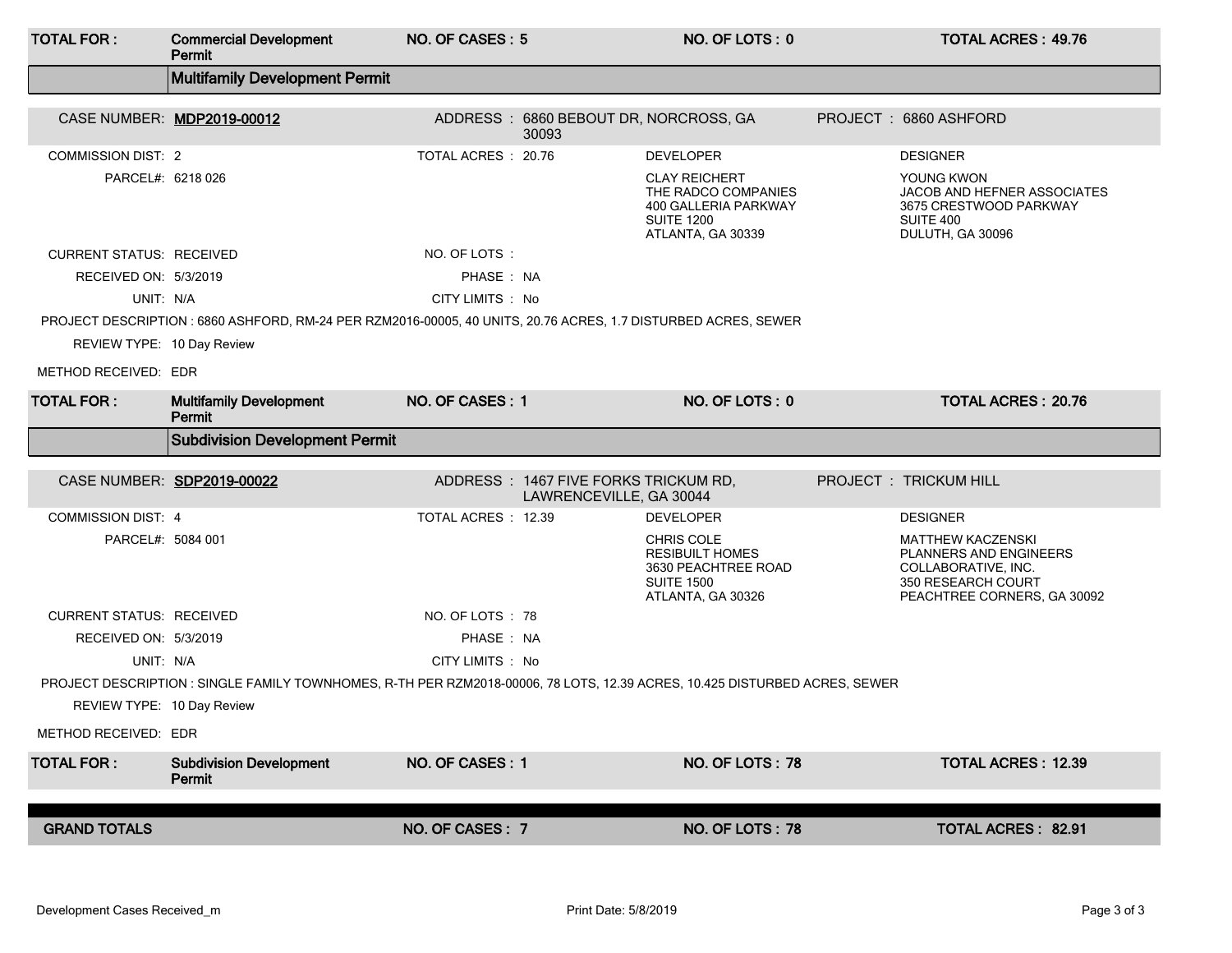| <b>TOTAL FOR:</b>                                                                                                                            | <b>Commercial Development</b><br>Permit                                                                                    | NO. OF CASES: 5     |                                                                 | NO. OF LOTS: 0                                                                                                |  | <b>TOTAL ACRES: 49.76</b>                                                                                                      |  |  |
|----------------------------------------------------------------------------------------------------------------------------------------------|----------------------------------------------------------------------------------------------------------------------------|---------------------|-----------------------------------------------------------------|---------------------------------------------------------------------------------------------------------------|--|--------------------------------------------------------------------------------------------------------------------------------|--|--|
|                                                                                                                                              | <b>Multifamily Development Permit</b>                                                                                      |                     |                                                                 |                                                                                                               |  |                                                                                                                                |  |  |
|                                                                                                                                              | CASE NUMBER: MDP2019-00012                                                                                                 |                     | ADDRESS: 6860 BEBOUT DR, NORCROSS, GA<br>30093                  |                                                                                                               |  | PROJECT: 6860 ASHFORD                                                                                                          |  |  |
| <b>COMMISSION DIST: 2</b>                                                                                                                    |                                                                                                                            | TOTAL ACRES : 20.76 |                                                                 | <b>DEVELOPER</b>                                                                                              |  | <b>DESIGNER</b>                                                                                                                |  |  |
| PARCEL#: 6218 026                                                                                                                            |                                                                                                                            |                     |                                                                 | <b>CLAY REICHERT</b><br>THE RADCO COMPANIES<br>400 GALLERIA PARKWAY<br><b>SUITE 1200</b><br>ATLANTA, GA 30339 |  | YOUNG KWON<br>JACOB AND HEFNER ASSOCIATES<br>3675 CRESTWOOD PARKWAY<br>SUITE 400<br>DULUTH, GA 30096                           |  |  |
| <b>CURRENT STATUS: RECEIVED</b>                                                                                                              |                                                                                                                            | NO. OF LOTS:        |                                                                 |                                                                                                               |  |                                                                                                                                |  |  |
| RECEIVED ON: 5/3/2019                                                                                                                        |                                                                                                                            | PHASE: NA           |                                                                 |                                                                                                               |  |                                                                                                                                |  |  |
| UNIT: N/A                                                                                                                                    |                                                                                                                            | CITY LIMITS : No    |                                                                 |                                                                                                               |  |                                                                                                                                |  |  |
| PROJECT DESCRIPTION : 6860 ASHFORD, RM-24 PER RZM2016-00005, 40 UNITS, 20.76 ACRES, 1.7 DISTURBED ACRES, SEWER<br>REVIEW TYPE: 10 Day Review |                                                                                                                            |                     |                                                                 |                                                                                                               |  |                                                                                                                                |  |  |
| METHOD RECEIVED: EDR                                                                                                                         |                                                                                                                            |                     |                                                                 |                                                                                                               |  |                                                                                                                                |  |  |
| <b>TOTAL FOR:</b>                                                                                                                            | <b>Multifamily Development</b><br>Permit                                                                                   | NO. OF CASES: 1     |                                                                 | NO. OF LOTS: 0                                                                                                |  | <b>TOTAL ACRES: 20.76</b>                                                                                                      |  |  |
|                                                                                                                                              | <b>Subdivision Development Permit</b>                                                                                      |                     |                                                                 |                                                                                                               |  |                                                                                                                                |  |  |
|                                                                                                                                              | CASE NUMBER: SDP2019-00022                                                                                                 |                     | ADDRESS: 1467 FIVE FORKS TRICKUM RD,<br>LAWRENCEVILLE, GA 30044 |                                                                                                               |  | PROJECT : TRICKUM HILL                                                                                                         |  |  |
| <b>COMMISSION DIST: 4</b>                                                                                                                    |                                                                                                                            | TOTAL ACRES : 12.39 |                                                                 | <b>DEVELOPER</b>                                                                                              |  | <b>DESIGNER</b>                                                                                                                |  |  |
| PARCEL#: 5084 001                                                                                                                            |                                                                                                                            |                     |                                                                 | <b>CHRIS COLE</b><br><b>RESIBUILT HOMES</b><br>3630 PEACHTREE ROAD<br><b>SUITE 1500</b><br>ATLANTA, GA 30326  |  | <b>MATTHEW KACZENSKI</b><br>PLANNERS AND ENGINEERS<br>COLLABORATIVE, INC.<br>350 RESEARCH COURT<br>PEACHTREE CORNERS, GA 30092 |  |  |
| <b>CURRENT STATUS: RECEIVED</b>                                                                                                              |                                                                                                                            | NO. OF LOTS : 78    |                                                                 |                                                                                                               |  |                                                                                                                                |  |  |
| RECEIVED ON: 5/3/2019                                                                                                                        |                                                                                                                            | PHASE: NA           |                                                                 |                                                                                                               |  |                                                                                                                                |  |  |
| UNIT: N/A                                                                                                                                    |                                                                                                                            | CITY LIMITS : No    |                                                                 |                                                                                                               |  |                                                                                                                                |  |  |
|                                                                                                                                              | PROJECT DESCRIPTION : SINGLE FAMILY TOWNHOMES, R-TH PER RZM2018-00006, 78 LOTS, 12.39 ACRES, 10.425 DISTURBED ACRES, SEWER |                     |                                                                 |                                                                                                               |  |                                                                                                                                |  |  |
| REVIEW TYPE: 10 Day Review                                                                                                                   |                                                                                                                            |                     |                                                                 |                                                                                                               |  |                                                                                                                                |  |  |
| METHOD RECEIVED: EDR                                                                                                                         |                                                                                                                            |                     |                                                                 |                                                                                                               |  |                                                                                                                                |  |  |
| <b>TOTAL FOR:</b>                                                                                                                            | <b>Subdivision Development</b><br>Permit                                                                                   | NO. OF CASES: 1     |                                                                 | NO. OF LOTS: 78                                                                                               |  | <b>TOTAL ACRES: 12.39</b>                                                                                                      |  |  |
|                                                                                                                                              |                                                                                                                            |                     |                                                                 |                                                                                                               |  |                                                                                                                                |  |  |
| <b>GRAND TOTALS</b>                                                                                                                          |                                                                                                                            | NO. OF CASES: 7     |                                                                 | NO. OF LOTS: 78                                                                                               |  | <b>TOTAL ACRES: 82.91</b>                                                                                                      |  |  |